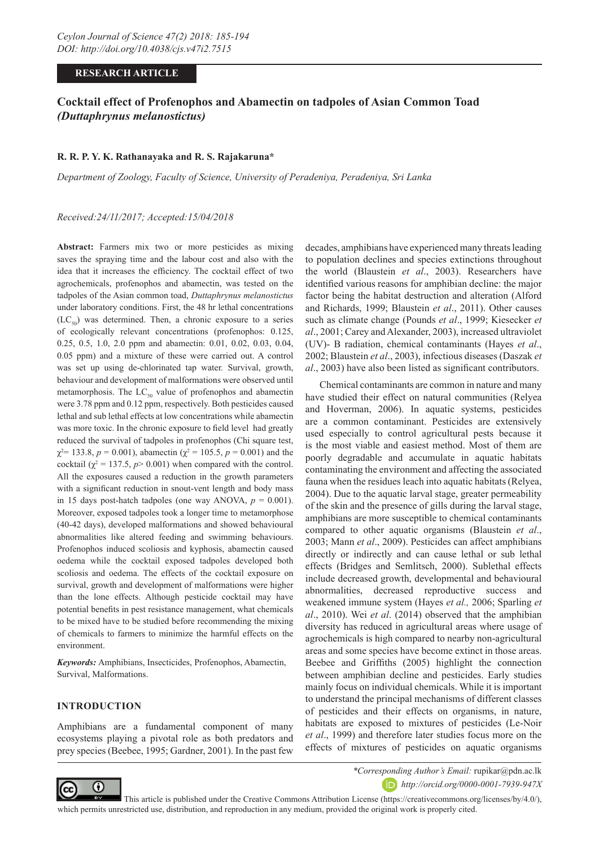### **RESEARCH ARTICLE**

# **Cocktail effect of Profenophos and Abamectin on tadpoles of Asian Common Toad**  *(Duttaphrynus melanostictus)*

#### **R. R. P. Y. K. Rathanayaka and R. S. Rajakaruna\***

*Department of Zoology, Faculty of Science, University of Peradeniya, Peradeniya, Sri Lanka*

*Received:24/11/2017; Accepted:15/04/2018*

**Abstract:** Farmers mix two or more pesticides as mixing saves the spraying time and the labour cost and also with the idea that it increases the efficiency. The cocktail effect of two agrochemicals, profenophos and abamectin, was tested on the tadpoles of the Asian common toad, *Duttaphrynus melanostictus* under laboratory conditions. First, the 48 hr lethal concentrations  $(LC_{50})$  was determined. Then, a chronic exposure to a series of ecologically relevant concentrations (profenophos: 0.125, 0.25, 0.5, 1.0, 2.0 ppm and abamectin: 0.01, 0.02, 0.03, 0.04, 0.05 ppm) and a mixture of these were carried out. A control was set up using de-chlorinated tap water. Survival, growth, behaviour and development of malformations were observed until metamorphosis. The  $LC_{50}$  value of profenophos and abamectin were 3.78 ppm and 0.12 ppm, respectively. Both pesticides caused lethal and sub lethal effects at low concentrations while abamectin was more toxic. In the chronic exposure to field level had greatly reduced the survival of tadpoles in profenophos (Chi square test,  $\chi^2$  = 133.8, *p* = 0.001), abamectin ( $\chi^2$  = 105.5, *p* = 0.001) and the cocktail  $(\chi^2 = 137.5, p > 0.001)$  when compared with the control. All the exposures caused a reduction in the growth parameters with a significant reduction in snout-vent length and body mass in 15 days post-hatch tadpoles (one way ANOVA,  $p = 0.001$ ). Moreover, exposed tadpoles took a longer time to metamorphose (40-42 days), developed malformations and showed behavioural abnormalities like altered feeding and swimming behaviours. Profenophos induced scoliosis and kyphosis, abamectin caused oedema while the cocktail exposed tadpoles developed both scoliosis and oedema. The effects of the cocktail exposure on survival, growth and development of malformations were higher than the lone effects. Although pesticide cocktail may have potential benefits in pest resistance management, what chemicals to be mixed have to be studied before recommending the mixing of chemicals to farmers to minimize the harmful effects on the environment.

*Keywords:* Amphibians, Insecticides, Profenophos, Abamectin, Survival, Malformations.

#### **INTRODUCTION**

Amphibians are a fundamental component of many ecosystems playing a pivotal role as both predators and prey species (Beebee, 1995; Gardner, 2001). In the past few decades, amphibians have experienced many threats leading to population declines and species extinctions throughout the world (Blaustein *et al*., 2003). Researchers have identified various reasons for amphibian decline: the major factor being the habitat destruction and alteration (Alford and Richards, 1999; Blaustein *et al*., 2011). Other causes such as climate change (Pounds *et al*., 1999; Kiesecker *et al*., 2001; Carey and Alexander, 2003), increased ultraviolet (UV)- B radiation, chemical contaminants (Hayes *et al*., 2002; Blaustein *et al*., 2003), infectious diseases (Daszak *et al*., 2003) have also been listed as significant contributors.

Chemical contaminants are common in nature and many have studied their effect on natural communities (Relyea and Hoverman, 2006). In aquatic systems, pesticides are a common contaminant. Pesticides are extensively used especially to control agricultural pests because it is the most viable and easiest method. Most of them are poorly degradable and accumulate in aquatic habitats contaminating the environment and affecting the associated fauna when the residues leach into aquatic habitats (Relyea, 2004). Due to the aquatic larval stage, greater permeability of the skin and the presence of gills during the larval stage, amphibians are more susceptible to chemical contaminants compared to other aquatic organisms (Blaustein *et al*., 2003; Mann *et al*., 2009). Pesticides can affect amphibians directly or indirectly and can cause lethal or sub lethal effects (Bridges and Semlitsch, 2000). Sublethal effects include decreased growth, developmental and behavioural abnormalities, decreased reproductive success and weakened immune system (Hayes *et al.,* 2006; Sparling *et al*., 2010). Wei *et al*. (2014) observed that the amphibian diversity has reduced in agricultural areas where usage of agrochemicals is high compared to nearby non-agricultural areas and some species have become extinct in those areas. Beebee and Griffiths (2005) highlight the connection between amphibian decline and pesticides. Early studies mainly focus on individual chemicals. While it is important to understand the principal mechanisms of different classes of pesticides and their effects on organisms, in nature, habitats are exposed to mixtures of pesticides (Le-Noir *et al*., 1999) and therefore later studies focus more on the effects of mixtures of pesticides on aquatic organisms



*\*Corresponding Author's Email:* rupikar@pdn.ac.lk *http://orcid.org/0000-0001-7939-947X*

 This article is published under the Creative Commons Attribution License (https://creativecommons.org/licenses/by/4.0/), which permits unrestricted use, distribution, and reproduction in any medium, provided the original work is properly cited.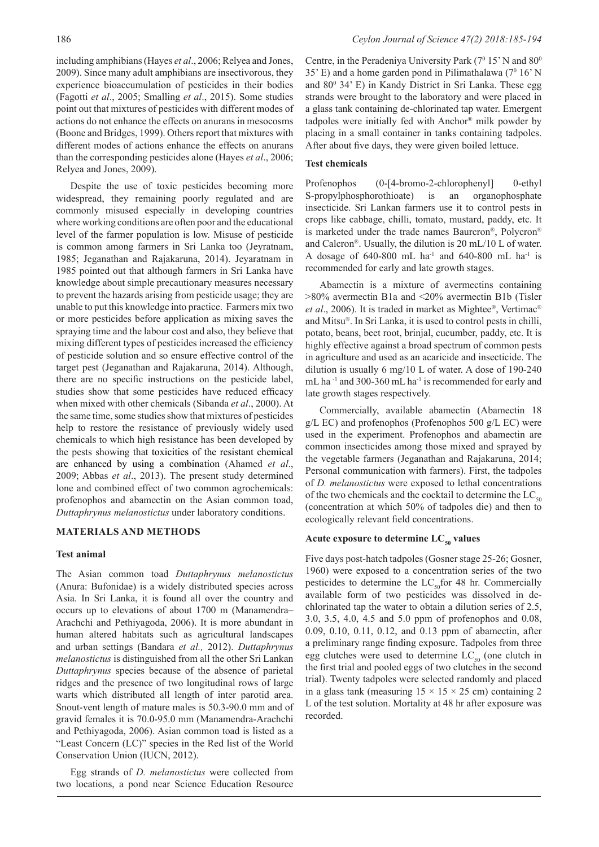including amphibians (Hayes *et al*., 2006; Relyea and Jones, 2009). Since many adult amphibians are insectivorous, they experience bioaccumulation of pesticides in their bodies (Fagotti *et al*., 2005; Smalling *et al*., 2015). Some studies point out that mixtures of pesticides with different modes of actions do not enhance the effects on anurans in mesocosms (Boone and Bridges, 1999). Others report that mixtures with different modes of actions enhance the effects on anurans than the corresponding pesticides alone (Hayes *et al*., 2006; Relyea and Jones, 2009).

Despite the use of toxic pesticides becoming more widespread, they remaining poorly regulated and are commonly misused especially in developing countries where working conditions are often poor and the educational level of the farmer population is low. Misuse of pesticide is common among farmers in Sri Lanka too (Jeyratnam, 1985; Jeganathan and Rajakaruna, 2014). Jeyaratnam in 1985 pointed out that although farmers in Sri Lanka have knowledge about simple precautionary measures necessary to prevent the hazards arising from pesticide usage; they are unable to put this knowledge into practice. Farmers mix two or more pesticides before application as mixing saves the spraying time and the labour cost and also, they believe that mixing different types of pesticides increased the efficiency of pesticide solution and so ensure effective control of the target pest (Jeganathan and Rajakaruna, 2014). Although, there are no specific instructions on the pesticide label, studies show that some pesticides have reduced efficacy when mixed with other chemicals (Sibanda *et al*., 2000). At the same time, some studies show that mixtures of pesticides help to restore the resistance of previously widely used chemicals to which high resistance has been developed by the pests showing that toxicities of the resistant chemical are enhanced by using a combination (Ahamed *et al*., 2009; Abbas *et al*., 2013). The present study determined lone and combined effect of two common agrochemicals: profenophos and abamectin on the Asian common toad, *Duttaphrynus melanostictus* under laboratory conditions.

#### **MATERIALS AND METHODS**

#### **Test animal**

The Asian common toad *Duttaphrynus melanostictus*  (Anura: Bufonidae) is a widely distributed species across Asia. In Sri Lanka, it is found all over the country and occurs up to elevations of about 1700 m (Manamendra– Arachchi and Pethiyagoda, 2006). It is more abundant in human altered habitats such as agricultural landscapes and urban settings (Bandara *et al.,* 2012). *Duttaphrynus melanostictus* is distinguished from all the other Sri Lankan *Duttaphrynus* species because of the absence of parietal ridges and the presence of two longitudinal rows of large warts which distributed all length of inter parotid area. Snout-vent length of mature males is 50.3-90.0 mm and of gravid females it is 70.0-95.0 mm (Manamendra-Arachchi and Pethiyagoda, 2006). Asian common toad is listed as a "Least Concern (LC)" species in the Red list of the World Conservation Union (IUCN, 2012).

Egg strands of *D. melanostictus* were collected from two locations, a pond near Science Education Resource Centre, in the Peradeniya University Park  $(7^0 15' N$  and  $80^0$  $35'$  E) and a home garden pond in Pilimathalawa ( $7^{\circ}$  16' N and 80<sup>0</sup> 34' E) in Kandy District in Sri Lanka. These egg strands were brought to the laboratory and were placed in a glass tank containing de-chlorinated tap water. Emergent tadpoles were initially fed with Anchor® milk powder by placing in a small container in tanks containing tadpoles. After about five days, they were given boiled lettuce.

#### **Test chemicals**

Profenophos (0-[4-bromo-2-chlorophenyl] 0-ethyl S-propylphosphorothioate) is an organophosphate insecticide. Sri Lankan farmers use it to control pests in crops like cabbage, chilli, tomato, mustard, paddy, etc. It is marketed under the trade names Baurcron®, Polycron® and Calcron®. Usually, the dilution is 20 mL/10 L of water. A dosage of  $640-800$  mL ha<sup>-1</sup> and  $640-800$  mL ha<sup>-1</sup> is recommended for early and late growth stages.

Abamectin is a mixture of avermectins containing  $>80\%$  avermectin B1a and  $<20\%$  avermectin B1b (Tisler *et al*., 2006). It is traded in market as Mightee®, Vertimac® and Mitsu®. In Sri Lanka, it is used to control pests in chilli, potato, beans, beet root, brinjal, cucumber, paddy, etc. It is highly effective against a broad spectrum of common pests in agriculture and used as an acaricide and insecticide. The dilution is usually 6 mg/10 L of water. A dose of 190-240 mL ha<sup>-1</sup> and 300-360 mL ha<sup>-1</sup> is recommended for early and late growth stages respectively.

Commercially, available abamectin (Abamectin 18 g/L EC) and profenophos (Profenophos 500 g/L EC) were used in the experiment. Profenophos and abamectin are common insecticides among those mixed and sprayed by the vegetable farmers (Jeganathan and Rajakaruna, 2014; Personal communication with farmers). First, the tadpoles of *D. melanostictus* were exposed to lethal concentrations of the two chemicals and the cocktail to determine the  $LC_{50}$ (concentration at which 50% of tadpoles die) and then to ecologically relevant field concentrations.

#### Acute exposure to determine LC<sub>50</sub> values

Five days post-hatch tadpoles (Gosner stage 25-26; Gosner, 1960) were exposed to a concentration series of the two pesticides to determine the  $LC_{50}$  for 48 hr. Commercially available form of two pesticides was dissolved in dechlorinated tap the water to obtain a dilution series of 2.5, 3.0, 3.5, 4.0, 4.5 and 5.0 ppm of profenophos and 0.08, 0.09, 0.10, 0.11, 0.12, and 0.13 ppm of abamectin, after a preliminary range finding exposure. Tadpoles from three egg clutches were used to determine  $LC_{50}$  (one clutch in the first trial and pooled eggs of two clutches in the second trial). Twenty tadpoles were selected randomly and placed in a glass tank (measuring  $15 \times 15 \times 25$  cm) containing 2 L of the test solution. Mortality at 48 hr after exposure was recorded.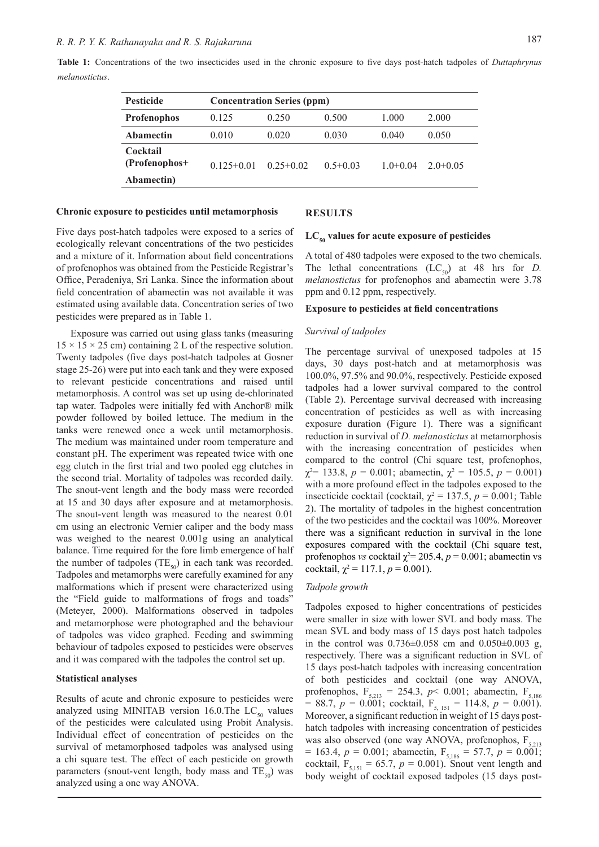|                | Table 1: Concentrations of the two insecticides used in the chronic exposure to five days post-hatch tadpoles of <i>Duttaphrynus</i> |  |  |  |  |  |  |  |  |
|----------------|--------------------------------------------------------------------------------------------------------------------------------------|--|--|--|--|--|--|--|--|
| melanostictus. |                                                                                                                                      |  |  |  |  |  |  |  |  |

| <b>Pesticide</b>                        | <b>Concentration Series (ppm)</b> |               |              |            |              |  |  |  |  |
|-----------------------------------------|-----------------------------------|---------------|--------------|------------|--------------|--|--|--|--|
| <b>Profenophos</b>                      | 0.125                             | 0.250         | 0.500        | 1.000      | 2.000        |  |  |  |  |
| <b>Abamectin</b>                        | 0.010                             | 0.020         | 0.030        | 0.040      | 0.050        |  |  |  |  |
| Cocktail<br>(Profenophos+<br>Abamectin) | $0.125 + 0.01$                    | $0.25 + 0.02$ | $0.5 + 0.03$ | $1.0+0.04$ | $2.0 + 0.05$ |  |  |  |  |

#### **Chronic exposure to pesticides until metamorphosis**

#### **RESULTS**

Five days post-hatch tadpoles were exposed to a series of ecologically relevant concentrations of the two pesticides and a mixture of it. Information about field concentrations of profenophos was obtained from the Pesticide Registrar's Office, Peradeniya, Sri Lanka. Since the information about field concentration of abamectin was not available it was estimated using available data. Concentration series of two pesticides were prepared as in Table 1.

Exposure was carried out using glass tanks (measuring  $15 \times 15 \times 25$  cm) containing 2 L of the respective solution. Twenty tadpoles (five days post-hatch tadpoles at Gosner stage 25-26) were put into each tank and they were exposed to relevant pesticide concentrations and raised until metamorphosis. A control was set up using de-chlorinated tap water. Tadpoles were initially fed with Anchor® milk powder followed by boiled lettuce. The medium in the tanks were renewed once a week until metamorphosis. The medium was maintained under room temperature and constant pH. The experiment was repeated twice with one egg clutch in the first trial and two pooled egg clutches in the second trial. Mortality of tadpoles was recorded daily. The snout-vent length and the body mass were recorded at 15 and 30 days after exposure and at metamorphosis. The snout-vent length was measured to the nearest 0.01 cm using an electronic Vernier caliper and the body mass was weighed to the nearest 0.001g using an analytical balance. Time required for the fore limb emergence of half the number of tadpoles (TE<sub>50</sub>) in each tank was recorded. Tadpoles and metamorphs were carefully examined for any malformations which if present were characterized using the "Field guide to malformations of frogs and toads" (Meteyer, 2000). Malformations observed in tadpoles and metamorphose were photographed and the behaviour of tadpoles was video graphed. Feeding and swimming behaviour of tadpoles exposed to pesticides were observes and it was compared with the tadpoles the control set up.

#### **Statistical analyses**

Results of acute and chronic exposure to pesticides were analyzed using MINITAB version 16.0. The  $LC_{50}$  values of the pesticides were calculated using Probit Analysis. Individual effect of concentration of pesticides on the survival of metamorphosed tadpoles was analysed using a chi square test. The effect of each pesticide on growth parameters (snout-vent length, body mass and  $TE_{50}$ ) was analyzed using a one way ANOVA.

# LC<sub>50</sub> values for acute exposure of pesticides

A total of 480 tadpoles were exposed to the two chemicals. The lethal concentrations  $(LC_{50})$  at 48 hrs for *D*. *melanostictus* for profenophos and abamectin were 3.78 ppm and 0.12 ppm, respectively.

#### **Exposure to pesticides at field concentrations**

#### *Survival of tadpoles*

The percentage survival of unexposed tadpoles at 15 days, 30 days post-hatch and at metamorphosis was 100.0%, 97.5% and 90.0%, respectively. Pesticide exposed tadpoles had a lower survival compared to the control (Table 2). Percentage survival decreased with increasing concentration of pesticides as well as with increasing exposure duration (Figure 1). There was a significant reduction in survival of *D. melanostictus* at metamorphosis with the increasing concentration of pesticides when compared to the control (Chi square test, profenophos,  $\chi^2$  = 133.8, *p* = 0.001; abamectin,  $\chi^2$  = 105.5, *p* = 0.001) with a more profound effect in the tadpoles exposed to the insecticide cocktail (cocktail,  $\chi^2 = 137.5$ ,  $p = 0.001$ ; Table 2). The mortality of tadpoles in the highest concentration of the two pesticides and the cocktail was 100%. Moreover there was a significant reduction in survival in the lone exposures compared with the cocktail (Chi square test, profenophos *vs* cocktail  $\chi^2 = 205.4$ ,  $p = 0.001$ ; abamectin vs cocktail,  $\chi^2 = 117.1$ ,  $p = 0.001$ ).

#### *Tadpole growth*

Tadpoles exposed to higher concentrations of pesticides were smaller in size with lower SVL and body mass. The mean SVL and body mass of 15 days post hatch tadpoles in the control was  $0.736 \pm 0.058$  cm and  $0.050 \pm 0.003$  g, respectively. There was a significant reduction in SVL of 15 days post-hatch tadpoles with increasing concentration of both pesticides and cocktail (one way ANOVA, profenophos,  $F_{5,213} = 254.3$ ,  $p < 0.001$ ; abamectin,  $F_{5,186}$ = 88.7,  $p = 0.001$ ; cocktail,  $F_{5, 151} = 114.8$ ,  $p = 0.001$ ). Moreover, a significant reduction in weight of 15 days posthatch tadpoles with increasing concentration of pesticides was also observed (one way ANOVA, profenophos,  $F_{5,213}$ )  $= 163.4, p = 0.001$ ; abamectin,  $F_{5,186} = 57.7, p = 0.001$ ; cocktail,  $F_{5,151} = 65.7$ ,  $p = 0.001$ ). Snout vent length and body weight of cocktail exposed tadpoles (15 days post-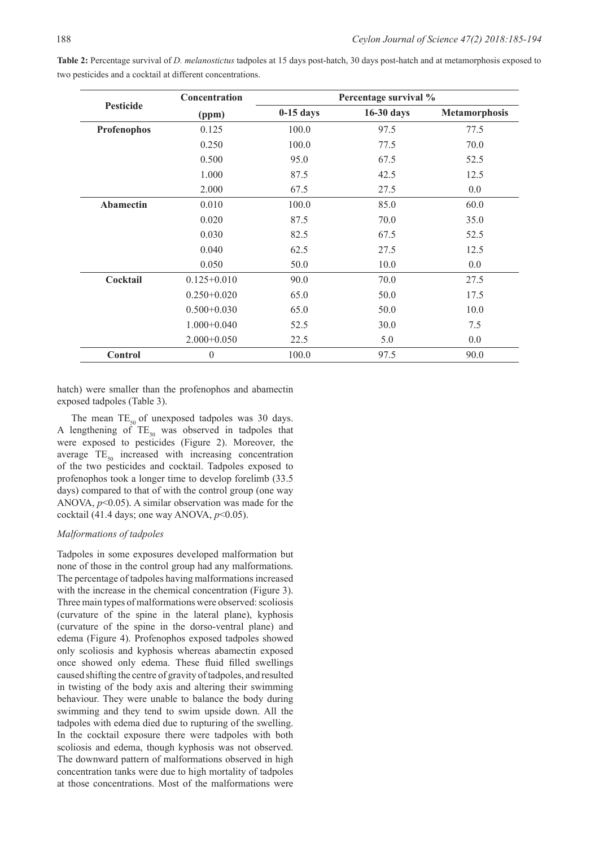|                  | Concentration   |             | Percentage survival % |                      |
|------------------|-----------------|-------------|-----------------------|----------------------|
| <b>Pesticide</b> | (ppm)           | $0-15$ days | 16-30 days            | <b>Metamorphosis</b> |
| Profenophos      | 0.125           | 100.0       | 97.5                  | 77.5                 |
|                  | 0.250           | 100.0       | 77.5                  | 70.0                 |
|                  | 0.500           | 95.0        | 67.5                  | 52.5                 |
|                  | 1.000           | 87.5        | 42.5                  | 12.5                 |
|                  | 2.000           | 67.5        | 27.5                  | 0.0                  |
| <b>Abamectin</b> | 0.010           | 100.0       | 85.0                  | 60.0                 |
|                  | 0.020           | 87.5        | 70.0                  | 35.0                 |
|                  | 0.030           | 82.5        | 67.5                  | 52.5                 |
|                  | 0.040           | 62.5        | 27.5                  | 12.5                 |
|                  | 0.050           | 50.0        | 10.0                  | 0.0                  |
| Cocktail         | $0.125 + 0.010$ | 90.0        | 70.0                  | 27.5                 |
|                  | $0.250 + 0.020$ | 65.0        | 50.0                  | 17.5                 |
|                  | $0.500+0.030$   | 65.0        | 50.0                  | 10.0                 |
|                  | $1.000 + 0.040$ | 52.5        | 30.0                  | 7.5                  |
|                  | $2.000+0.050$   | 22.5        | 5.0                   | 0.0                  |
| Control          | $\overline{0}$  | 100.0       | 97.5                  | 90.0                 |

**Table 2:** Percentage survival of *D. melanostictus* tadpoles at 15 days post-hatch, 30 days post-hatch and at metamorphosis exposed to two pesticides and a cocktail at different concentrations.

hatch) were smaller than the profenophos and abamectin exposed tadpoles (Table 3).

The mean  $TE_{50}$  of unexposed tadpoles was 30 days. A lengthening of  $TE_{50}$  was observed in tadpoles that were exposed to pesticides (Figure 2). Moreover, the average  $TE_{50}$  increased with increasing concentration of the two pesticides and cocktail. Tadpoles exposed to profenophos took a longer time to develop forelimb (33.5 days) compared to that of with the control group (one way ANOVA, *p*<0.05). A similar observation was made for the cocktail (41.4 days; one way ANOVA, *p*<0.05).

#### *Malformations of tadpoles*

Tadpoles in some exposures developed malformation but none of those in the control group had any malformations. The percentage of tadpoles having malformations increased with the increase in the chemical concentration (Figure 3). Three main types of malformations were observed: scoliosis (curvature of the spine in the lateral plane), kyphosis (curvature of the spine in the dorso-ventral plane) and edema (Figure 4). Profenophos exposed tadpoles showed only scoliosis and kyphosis whereas abamectin exposed once showed only edema. These fluid filled swellings caused shifting the centre of gravity of tadpoles, and resulted in twisting of the body axis and altering their swimming behaviour. They were unable to balance the body during swimming and they tend to swim upside down. All the tadpoles with edema died due to rupturing of the swelling. In the cocktail exposure there were tadpoles with both scoliosis and edema, though kyphosis was not observed. The downward pattern of malformations observed in high concentration tanks were due to high mortality of tadpoles at those concentrations. Most of the malformations were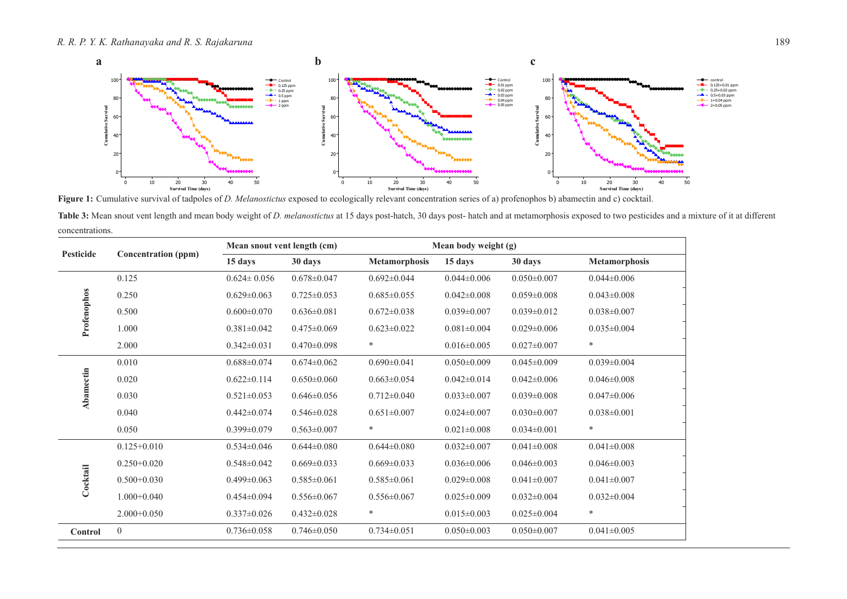

**Figure 1:** Cumulative survival of tadpoles of *D. Melanostictus* exposed to ecologically relevant concentration series of a) profenophos b) abamectin and c) cocktail.

Table 3: Mean snout vent length and mean body weight of *D. melanostictus* at 15 days post-hatch, 30 days post-hatch and at metamorphosis exposed to two pesticides and a mixture of it at different concentrations.

| Pesticide   |                            | Mean snout vent length (cm) |                   |                      | Mean body weight (g) |                   |                      |  |  |
|-------------|----------------------------|-----------------------------|-------------------|----------------------|----------------------|-------------------|----------------------|--|--|
|             | <b>Concentration</b> (ppm) | 15 days                     | 30 days           | <b>Metamorphosis</b> | 15 days              | 30 days           | <b>Metamorphosis</b> |  |  |
|             | 0.125                      | $0.624 \pm 0.056$           | $0.678 \pm 0.047$ | $0.692 \pm 0.044$    | $0.044 \pm 0.006$    | $0.050 \pm 0.007$ | $0.044 \pm 0.006$    |  |  |
|             | 0.250                      | $0.629 \pm 0.063$           | $0.725 \pm 0.053$ | $0.685 \pm 0.055$    | $0.042 \pm 0.008$    | $0.059 \pm 0.008$ | $0.043 \pm 0.008$    |  |  |
|             | 0.500                      | $0.600 \pm 0.070$           | $0.636 \pm 0.081$ | $0.672 \pm 0.038$    | $0.039 \pm 0.007$    | $0.039 \pm 0.012$ | $0.038 \pm 0.007$    |  |  |
| Profenophos | 1.000                      | $0.381 \pm 0.042$           | $0.475 \pm 0.069$ | $0.623 \pm 0.022$    | $0.081 \pm 0.004$    | $0.029 \pm 0.006$ | $0.035 \pm 0.004$    |  |  |
|             | 2.000                      | $0.342 \pm 0.031$           | $0.470 \pm 0.098$ | $\ast$               | $0.016 \pm 0.005$    | $0.027 \pm 0.007$ | $\ast$               |  |  |
|             | 0.010                      | $0.688 \pm 0.074$           | $0.674 \pm 0.062$ | $0.690 \pm 0.041$    | $0.050 \pm 0.009$    | $0.045 \pm 0.009$ | $0.039 \pm 0.004$    |  |  |
|             | 0.020                      | $0.622 \pm 0.114$           | $0.650 \pm 0.060$ | $0.663 \pm 0.054$    | $0.042 \pm 0.014$    | $0.042 \pm 0.006$ | $0.046 \pm 0.008$    |  |  |
| Abamectin   | 0.030                      | $0.521 \pm 0.053$           | $0.646 \pm 0.056$ | $0.712 \pm 0.040$    | $0.033 \pm 0.007$    | $0.039 \pm 0.008$ | $0.047 \pm 0.006$    |  |  |
|             | 0.040                      | $0.442 \pm 0.074$           | $0.546 \pm 0.028$ | $0.651 \pm 0.007$    | $0.024 \pm 0.007$    | $0.030 \pm 0.007$ | $0.038 \pm 0.001$    |  |  |
|             | 0.050                      | $0.399 \pm 0.079$           | $0.563 \pm 0.007$ | $\ast$               | $0.021 \pm 0.008$    | $0.034 \pm 0.001$ | $\ast$               |  |  |
|             | $0.125 + 0.010$            | $0.534 \pm 0.046$           | $0.644 \pm 0.080$ | $0.644 \pm 0.080$    | $0.032 \pm 0.007$    | $0.041 \pm 0.008$ | $0.041 \pm 0.008$    |  |  |
|             | $0.250+0.020$              | $0.548 \pm 0.042$           | $0.669 \pm 0.033$ | $0.669 \pm 0.033$    | $0.036 \pm 0.006$    | $0.046 \pm 0.003$ | $0.046 \pm 0.003$    |  |  |
| Cocktail    | $0.500+0.030$              | $0.499 \pm 0.063$           | $0.585 \pm 0.061$ | $0.585 \pm 0.061$    | $0.029 \pm 0.008$    | $0.041 \pm 0.007$ | $0.041 \pm 0.007$    |  |  |
|             | $1.000+0.040$              | $0.454 \pm 0.094$           | $0.556 \pm 0.067$ | $0.556 \pm 0.067$    | $0.025 \pm 0.009$    | $0.032 \pm 0.004$ | $0.032 \pm 0.004$    |  |  |
|             | $2.000+0.050$              | $0.337 \pm 0.026$           | $0.432 \pm 0.028$ | $\ast$               | $0.015 \pm 0.003$    | $0.025 \pm 0.004$ | $\ast$               |  |  |
| Control     | $\boldsymbol{0}$           | $0.736 \pm 0.058$           | $0.746 \pm 0.050$ | $0.734 \pm 0.051$    | $0.050 \pm 0.003$    | $0.050 \pm 0.007$ | $0.041 \pm 0.005$    |  |  |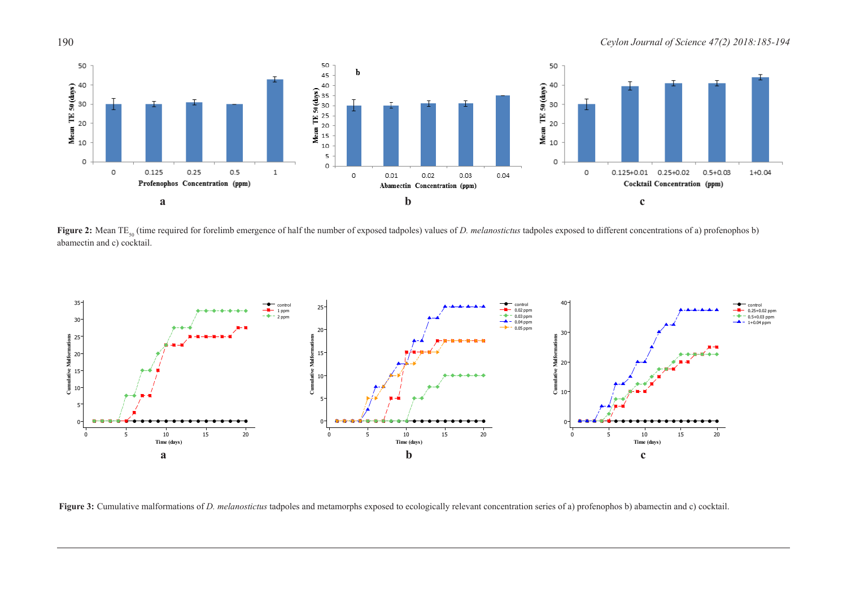190 *Ceylon Journal of Science 47(2) 2018:185-194*



**Figure 2:** Mean TE<sub>50</sub> (time required for forelimb emergence of half the number of exposed tadpoles) values of *D. melanostictus* tadpoles exposed to different concentrations of a) profenophos b) abamectin and c) cocktail.



**Figure 3:** Cumulative malformations of *D. melanostictus* tadpoles and metamorphs exposed to ecologically relevant concentration series of a) profenophos b) abamectin and c) cocktail.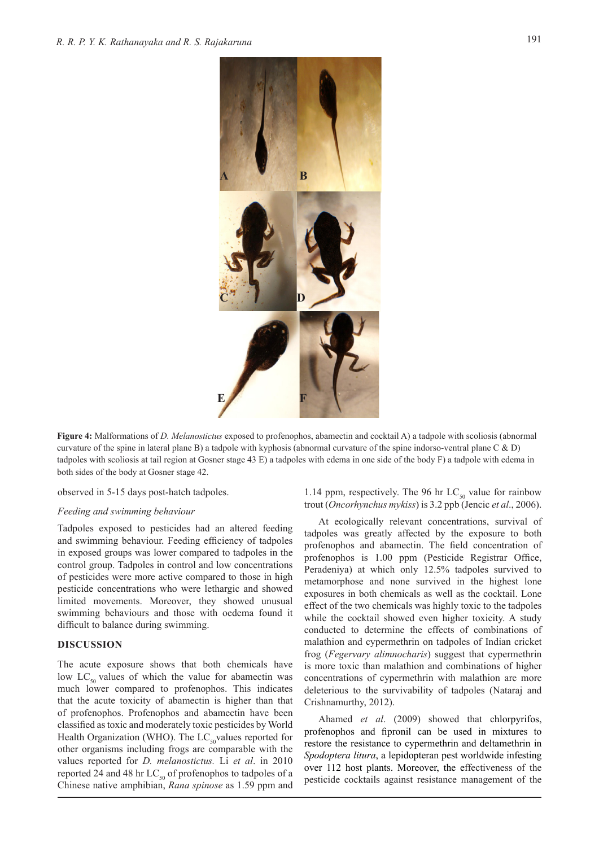

**Figure 4:** Malformations of *D. Melanostictus* exposed to profenophos, abamectin and cocktail A) a tadpole with scoliosis (abnormal curvature of the spine in lateral plane B) a tadpole with kyphosis (abnormal curvature of the spine indorso-ventral plane C & D) tadpoles with scoliosis at tail region at Gosner stage 43 E) a tadpoles with edema in one side of the body F) a tadpole with edema in both sides of the body at Gosner stage 42.

observed in 5-15 days post-hatch tadpoles.

#### *Feeding and swimming behaviour*

Tadpoles exposed to pesticides had an altered feeding and swimming behaviour. Feeding efficiency of tadpoles in exposed groups was lower compared to tadpoles in the control group. Tadpoles in control and low concentrations of pesticides were more active compared to those in high pesticide concentrations who were lethargic and showed limited movements. Moreover, they showed unusual swimming behaviours and those with oedema found it difficult to balance during swimming.

## **DISCUSSION**

The acute exposure shows that both chemicals have low  $LC_{50}$  values of which the value for abamectin was much lower compared to profenophos. This indicates that the acute toxicity of abamectin is higher than that of profenophos. Profenophos and abamectin have been classified as toxic and moderately toxic pesticides by World Health Organization (WHO). The  $LC_{50}$ values reported for other organisms including frogs are comparable with the values reported for *D. melanostictus.* Li *et al*. in 2010 reported 24 and 48 hr  $LC_{50}$  of profenophos to tadpoles of a Chinese native amphibian, *Rana spinose* as 1.59 ppm and 1.14 ppm, respectively. The 96 hr  $LC_{50}$  value for rainbow trout (*Oncorhynchus mykiss*) is 3.2 ppb (Jencic *et al*., 2006).

At ecologically relevant concentrations, survival of tadpoles was greatly affected by the exposure to both profenophos and abamectin. The field concentration of profenophos is 1.00 ppm (Pesticide Registrar Office, Peradeniya) at which only 12.5% tadpoles survived to metamorphose and none survived in the highest lone exposures in both chemicals as well as the cocktail. Lone effect of the two chemicals was highly toxic to the tadpoles while the cocktail showed even higher toxicity. A study conducted to determine the effects of combinations of malathion and cypermethrin on tadpoles of Indian cricket frog (*Fegervary alimnocharis*) suggest that cypermethrin is more toxic than malathion and combinations of higher concentrations of cypermethrin with malathion are more deleterious to the survivability of tadpoles (Nataraj and Crishnamurthy, 2012).

Ahamed *et al*. (2009) showed that chlorpyrifos, profenophos and fipronil can be used in mixtures to restore the resistance to cypermethrin and deltamethrin in *Spodoptera litura*, a lepidopteran pest worldwide infesting over 112 host plants. Moreover, the effectiveness of the pesticide cocktails against resistance management of the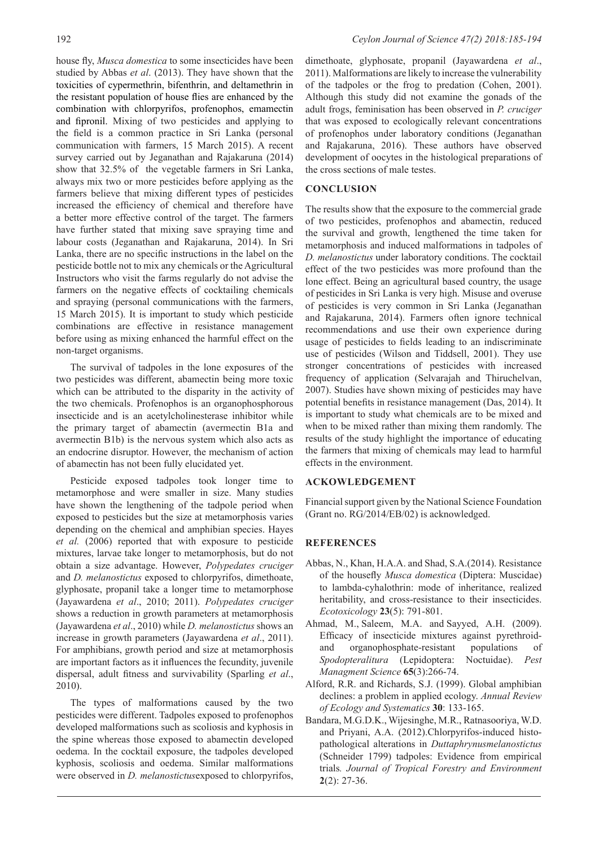house fly, *Musca domestica* to some insecticides have been studied by Abbas *et al*. (2013). They have shown that the toxicities of cypermethrin, bifenthrin, and deltamethrin in the resistant population of house flies are enhanced by the combination with chlorpyrifos, profenophos, emamectin and fipronil. Mixing of two pesticides and applying to the field is a common practice in Sri Lanka (personal communication with farmers, 15 March 2015). A recent survey carried out by Jeganathan and Rajakaruna (2014) show that 32.5% of the vegetable farmers in Sri Lanka, always mix two or more pesticides before applying as the farmers believe that mixing different types of pesticides increased the efficiency of chemical and therefore have a better more effective control of the target. The farmers have further stated that mixing save spraying time and labour costs (Jeganathan and Rajakaruna, 2014). In Sri Lanka, there are no specific instructions in the label on the pesticide bottle not to mix any chemicals or the Agricultural Instructors who visit the farms regularly do not advise the farmers on the negative effects of cocktailing chemicals and spraying (personal communications with the farmers, 15 March 2015). It is important to study which pesticide combinations are effective in resistance management before using as mixing enhanced the harmful effect on the non-target organisms.

The survival of tadpoles in the lone exposures of the two pesticides was different, abamectin being more toxic which can be attributed to the disparity in the activity of the two chemicals. Profenophos is an organophosphorous insecticide and is an acetylcholinesterase inhibitor while the primary target of abamectin (avermectin B1a and avermectin B1b) is the nervous system which also acts as an endocrine disruptor. However, the mechanism of action of abamectin has not been fully elucidated yet.

Pesticide exposed tadpoles took longer time to metamorphose and were smaller in size. Many studies have shown the lengthening of the tadpole period when exposed to pesticides but the size at metamorphosis varies depending on the chemical and amphibian species. Hayes *et al.* (2006) reported that with exposure to pesticide mixtures, larvae take longer to metamorphosis, but do not obtain a size advantage. However, *Polypedates cruciger*  and *D. melanostictus* exposed to chlorpyrifos, dimethoate, glyphosate, propanil take a longer time to metamorphose (Jayawardena *et al*., 2010; 2011). *Polypedates cruciger*  shows a reduction in growth parameters at metamorphosis (Jayawardena *et al*., 2010) while *D. melanostictus* shows an increase in growth parameters (Jayawardena *et al*., 2011). For amphibians, growth period and size at metamorphosis are important factors as it influences the fecundity, juvenile dispersal, adult fitness and survivability (Sparling *et al*., 2010).

The types of malformations caused by the two pesticides were different. Tadpoles exposed to profenophos developed malformations such as scoliosis and kyphosis in the spine whereas those exposed to abamectin developed oedema. In the cocktail exposure, the tadpoles developed kyphosis, scoliosis and oedema. Similar malformations were observed in *D. melanostictus*exposed to chlorpyrifos,

dimethoate, glyphosate, propanil (Jayawardena *et al*., 2011). Malformations are likely to increase the vulnerability of the tadpoles or the frog to predation (Cohen, 2001). Although this study did not examine the gonads of the adult frogs, feminisation has been observed in *P. cruciger* that was exposed to ecologically relevant concentrations of profenophos under laboratory conditions (Jeganathan and Rajakaruna, 2016). These authors have observed development of oocytes in the histological preparations of the cross sections of male testes.

## **CONCLUSION**

The results show that the exposure to the commercial grade of two pesticides, profenophos and abamectin, reduced the survival and growth, lengthened the time taken for metamorphosis and induced malformations in tadpoles of *D. melanostictus* under laboratory conditions. The cocktail effect of the two pesticides was more profound than the lone effect. Being an agricultural based country, the usage of pesticides in Sri Lanka is very high. Misuse and overuse of pesticides is very common in Sri Lanka (Jeganathan and Rajakaruna, 2014). Farmers often ignore technical recommendations and use their own experience during usage of pesticides to fields leading to an indiscriminate use of pesticides (Wilson and Tiddsell, 2001). They use stronger concentrations of pesticides with increased frequency of application (Selvarajah and Thiruchelvan, 2007). Studies have shown mixing of pesticides may have potential benefits in resistance management (Das, 2014). It is important to study what chemicals are to be mixed and when to be mixed rather than mixing them randomly. The results of the study highlight the importance of educating the farmers that mixing of chemicals may lead to harmful effects in the environment.

#### **ACKOWLEDGEMENT**

Financial support given by the National Science Foundation (Grant no. RG/2014/EB/02) is acknowledged.

#### **REFERENCES**

- Abbas, N., Khan, H.A.A. and Shad, S.A.(2014). Resistance of the housefly *Musca domestica* (Diptera: Muscidae) to lambda-cyhalothrin: mode of inheritance, realized heritability, and cross-resistance to their insecticides. *Ecotoxicology* **23**(5): 791-801.
- Ahmad, M., Saleem, M.A. and Sayyed, A.H. (2009). Efficacy of insecticide mixtures against pyrethroidand organophosphate-resistant populations of *Spodopteralitura* (Lepidoptera: Noctuidae). *Pest Managment Science* **65**(3):266-74.
- Alford, R.R. and Richards, S.J. (1999). Global amphibian declines: a problem in applied ecology. *Annual Review of Ecology and Systematics* **30**: 133-165.
- Bandara, M.G.D.K., Wijesinghe, M.R., Ratnasooriya, W.D. and Priyani, A.A. (2012).Chlorpyrifos-induced histopathological alterations in *Duttaphrynusmelanostictus* (Schneider 1799) tadpoles: Evidence from empirical trials*. Journal of Tropical Forestry and Environment*  **2**(2): 27-36.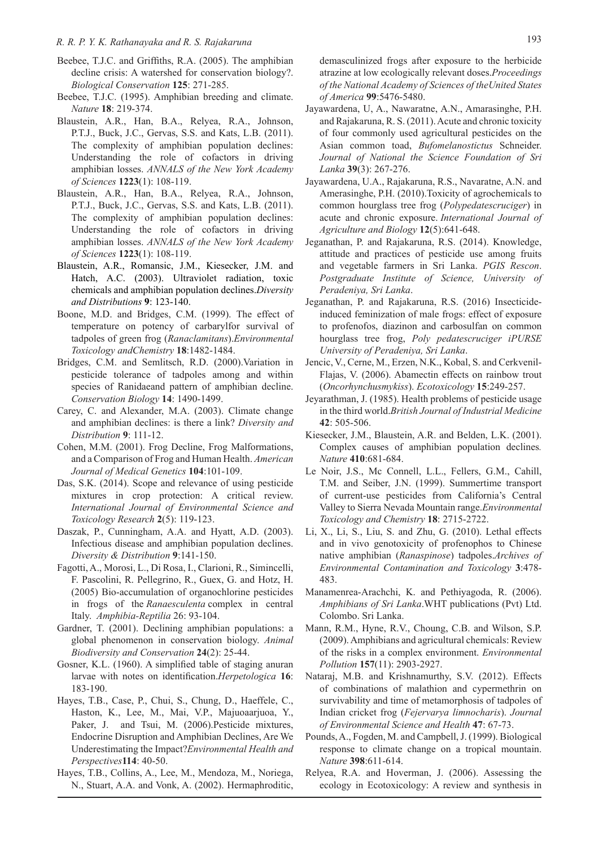# *R. R. P. Y. K. Rathanayaka and R. S. Rajakaruna* 193

- Beebee, T.J.C. and Griffiths, R.A. (2005). The amphibian decline crisis: A watershed for conservation biology?. *Biological Conservation* **125**: 271-285.
- Beebee, T.J.C. (1995). Amphibian breeding and climate. *Nature* **18**: 219-374.
- Blaustein, A.R., Han, B.A., Relyea, R.A., Johnson, P.T.J., Buck, J.C., Gervas, S.S. and Kats, L.B. (2011). The complexity of amphibian population declines: Understanding the role of cofactors in driving amphibian losses. *ANNALS of the New York Academy of Sciences* **1223**(1): 108-119.
- Blaustein, A.R., Han, B.A., Relyea, R.A., Johnson, P.T.J., Buck, J.C., Gervas, S.S. and Kats, L.B. (2011). The complexity of amphibian population declines: Understanding the role of cofactors in driving amphibian losses. *ANNALS of the New York Academy of Sciences* **1223**(1): 108-119.
- Blaustein, A.R., Romansic, J.M., Kiesecker, J.M. and Hatch, A.C. (2003). Ultraviolet radiation, toxic chemicals and amphibian population declines.*Diversity and Distributions* **9**: 123-140.
- Boone, M.D. and Bridges, C.M. (1999). The effect of temperature on potency of carbarylfor survival of tadpoles of green frog (*Ranaclamitans*).*Environmental Toxicology andChemistry* **18**:1482-1484.
- Bridges, C.M. and Semlitsch, R.D. (2000).Variation in pesticide tolerance of tadpoles among and within species of Ranidaeand pattern of amphibian decline. *Conservation Biology* **14**: 1490-1499.
- Carey, C. and Alexander, M.A. (2003). Climate change and amphibian declines: is there a link? *Diversity and Distribution* **9**: 111-12.
- Cohen, M.M. (2001). Frog Decline, Frog Malformations, and a Comparison of Frog and Human Health. *American Journal of Medical Genetics* **104**:101-109.
- Das, S.K. (2014). Scope and relevance of using pesticide mixtures in crop protection: A critical review. *International Journal of Environmental Science and Toxicology Research* **2**(5): 119-123.
- Daszak, P., Cunningham, A.A. and Hyatt, A.D. (2003). Infectious disease and amphibian population declines. *Diversity & Distribution* **9**:141-150.
- Fagotti, A., Morosi, L., Di Rosa, I., Clarioni, R., Simincelli, F. Pascolini, R. Pellegrino, R., Guex, G. and Hotz, H. (2005) Bio-accumulation of organochlorine pesticides in frogs of the *Ranaesculenta* complex in central Italy. *Amphibia-Reptilia* 26: 93-104.
- Gardner, T. (2001). Declining amphibian populations: a global phenomenon in conservation biology. *Animal Biodiversity and Conservation* **24**(2): 25-44.
- Gosner, K.L. (1960). A simplified table of staging anuran larvae with notes on identification.*Herpetologica* **16**: 183-190.
- Hayes, T.B., Case, P., Chui, S., Chung, D., Haeffele, C., Haston, K., Lee, M., Mai, V.P., Majuoaarjuoa, Y., Paker, J. and Tsui, M. (2006). Pesticide mixtures, Endocrine Disruption and Amphibian Declines, Are We Underestimating the Impact?*Environmental Health and Perspectives***114**: 40-50.
- Hayes, T.B., Collins, A., Lee, M., Mendoza, M., Noriega, N., Stuart, A.A. and Vonk, A. (2002). Hermaphroditic,

demasculinized frogs after exposure to the herbicide atrazine at low ecologically relevant doses.*Proceedings of the National Academy of Sciences of theUnited States of America* **99**:5476-5480.

- Jayawardena, U, A., Nawaratne, A.N., Amarasinghe, P.H. and Rajakaruna, R. S. (2011). Acute and chronic toxicity of four commonly used agricultural pesticides on the Asian common toad, *Bufomelanostictus* Schneider. *Journal of National the Science Foundation of Sri Lanka* **39**(3): 267-276.
- Jayawardena, U.A., Rajakaruna, R.S., Navaratne, A.N. and Amerasinghe, P.H. (2010).Toxicity of agrochemicals to common hourglass tree frog (*Polypedatescruciger*) in acute and chronic exposure. *International Journal of Agriculture and Biology* **12**(5):641-648.
- Jeganathan, P. and Rajakaruna, R.S. (2014). Knowledge, attitude and practices of pesticide use among fruits and vegetable farmers in Sri Lanka. *PGIS Rescon*. *Postgraduate Institute of Science, University of Peradeniya, Sri Lanka*.
- Jeganathan, P. and Rajakaruna, R.S. (2016) Insecticideinduced feminization of male frogs: effect of exposure to profenofos, diazinon and carbosulfan on common hourglass tree frog, *Poly pedatescruciger iPURSE University of Peradeniya, Sri Lanka*.
- Jencic, V., Cerne, M., Erzen, N.K., Kobal, S. and Cerkvenil-Flajas, V. (2006). Abamectin effects on rainbow trout (*Oncorhynchusmykiss*). *Ecotoxicology* **15**:249-257.
- Jeyarathman, J. (1985). Health problems of pesticide usage in the third world.*British Journal of Industrial Medicine*  **42**: 505-506.
- Kiesecker, J.M., Blaustein, A.R. and Belden, L.K. (2001). Complex causes of amphibian population declines*. Nature* **410**:681-684.
- Le Noir, J.S., Mc Connell, L.L., Fellers, G.M., Cahill, T.M. and Seiber, J.N. (1999). Summertime transport of current-use pesticides from California's Central Valley to Sierra Nevada Mountain range.*Environmental Toxicology and Chemistry* **18**: 2715-2722.
- Li, X., Li, S., Liu, S. and Zhu, G. (2010). Lethal effects and in vivo genotoxicity of profenophos to Chinese native amphibian (*Ranaspinose*) tadpoles.*Archives of Environmental Contamination and Toxicology* **3**:478- 483.
- Manamenrea-Arachchi, K. and Pethiyagoda, R. (2006). *Amphibians of Sri Lanka*.WHT publications (Pvt) Ltd. Colombo. Sri Lanka.
- Mann, R.M., Hyne, R.V., Choung, C.B. and Wilson, S.P. (2009). Amphibians and agricultural chemicals: Review of the risks in a complex environment. *Environmental Pollution* **157**(11): 2903-2927.
- Nataraj, M.B. and Krishnamurthy, S.V. (2012). Effects of combinations of malathion and cypermethrin on survivability and time of metamorphosis of tadpoles of Indian cricket frog (*Fejervarya limnocharis*). *Journal of Environmental Science and Health* **47**: 67-73.
- Pounds, A., Fogden, M. and Campbell, J. (1999). Biological response to climate change on a tropical mountain. *Nature* **398**:611-614.
- Relyea, R.A. and Hoverman, J. (2006). Assessing the ecology in Ecotoxicology: A review and synthesis in